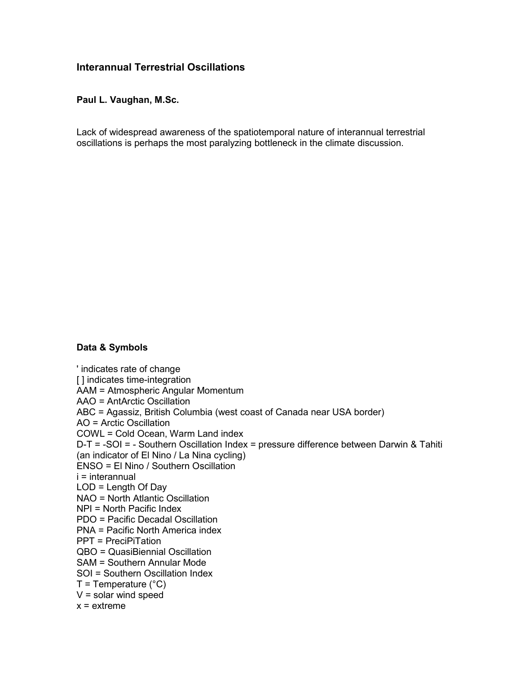# **Interannual Terrestrial Oscillations**

# **Paul L. Vaughan, M.Sc.**

Lack of widespread awareness of the spatiotemporal nature of interannual terrestrial oscillations is perhaps the most paralyzing bottleneck in the climate discussion.

# **Data & Symbols**

' indicates rate of change [] indicates time-integration AAM = Atmospheric Angular Momentum AAO = AntArctic Oscillation ABC = Agassiz, British Columbia (west coast of Canada near USA border) AO = Arctic Oscillation COWL = Cold Ocean, Warm Land index D-T = -SOI = - Southern Oscillation Index = pressure difference between Darwin & Tahiti (an indicator of El Nino / La Nina cycling) ENSO = El Nino / Southern Oscillation i = interannual LOD = Length Of Day NAO = North Atlantic Oscillation NPI = North Pacific Index PDO = Pacific Decadal Oscillation PNA = Pacific North America index PPT = PreciPiTation QBO = QuasiBiennial Oscillation SAM = Southern Annular Mode SOI = Southern Oscillation Index  $T =$ Temperature (°C)  $V =$  solar wind speed  $x =$  extreme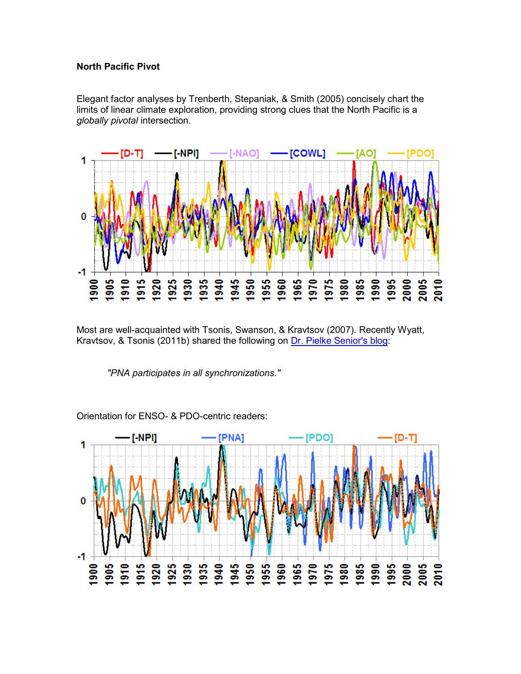#### **North Pacific Pivot**

Elegant factor analyses by Trenberth, Stepaniak, & Smith (2005) concisely chart the limits of linear climate exploration, providing strong clues that the North Pacific is a *globally pivotal* intersection.



Most are well-acquainted with Tsonis, Swanson, & Kravtsov (2007). Recently Wyatt, Kravtsov, & Tsonis (2011b) shared the following on [Dr. Pielke Senior's blog](http://pielkeclimatesci.wordpress.com/2011/04/21/guest-post-atlantic-multidecadal-oscillation-and-northern-hemisphere%25E2%2580%2599s-climate-variability-by-marcia-glaze-wyatt-sergey-kravtsov-and-anastasios-a-tsonis/):

 *"PNA participates in all synchronizations."*



Orientation for ENSO- & PDO-centric readers: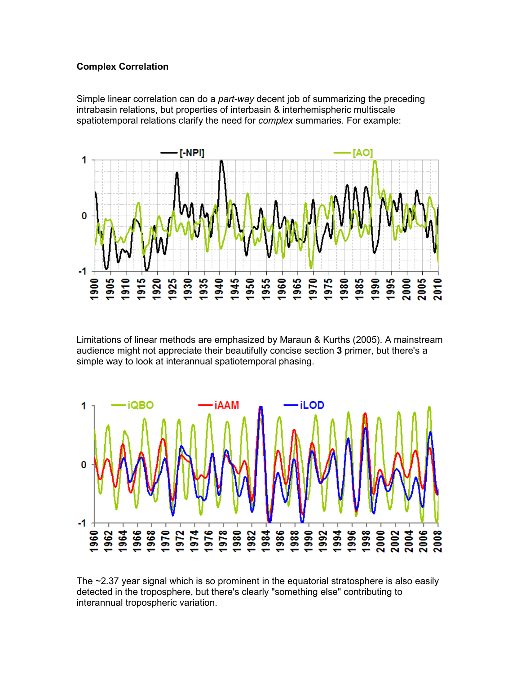### **Complex Correlation**

Simple linear correlation can do a *part-way* decent job of summarizing the preceding intrabasin relations, but properties of interbasin & interhemispheric multiscale spatiotemporal relations clarify the need for *complex* summaries. For example:



Limitations of linear methods are emphasized by Maraun & Kurths (2005). A mainstream audience might not appreciate their beautifully concise section **3** primer, but there's a simple way to look at interannual spatiotemporal phasing.



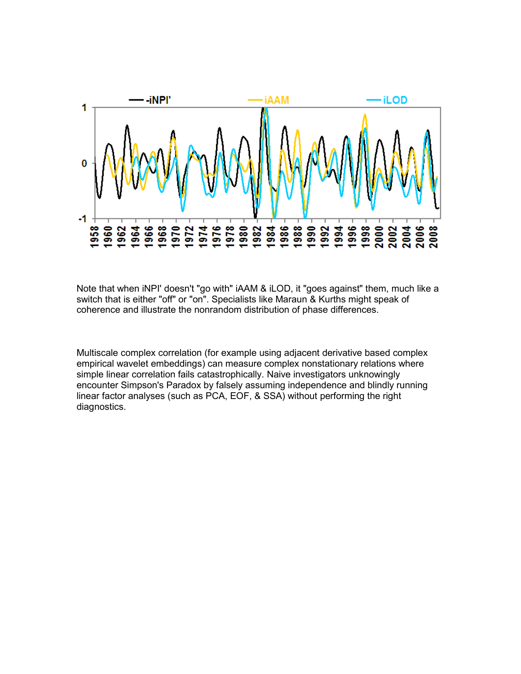

Note that when iNPI' doesn't "go with" iAAM & iLOD, it "goes against" them, much like a switch that is either "off" or "on". Specialists like Maraun & Kurths might speak of coherence and illustrate the nonrandom distribution of phase differences.

Multiscale complex correlation (for example using adjacent derivative based complex empirical wavelet embeddings) can measure complex nonstationary relations where simple linear correlation fails catastrophically. Naive investigators unknowingly encounter Simpson's Paradox by falsely assuming independence and blindly running linear factor analyses (such as PCA, EOF, & SSA) without performing the right diagnostics.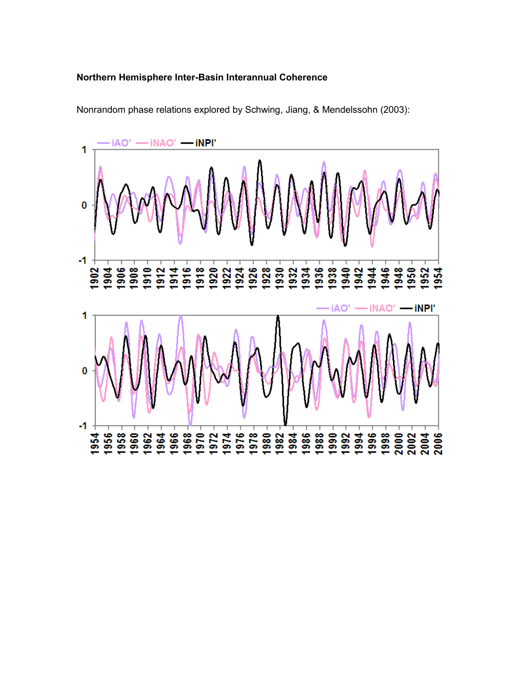#### **Northern Hemisphere Inter-Basin Interannual Coherence**



Nonrandom phase relations explored by Schwing, Jiang, & Mendelssohn (2003):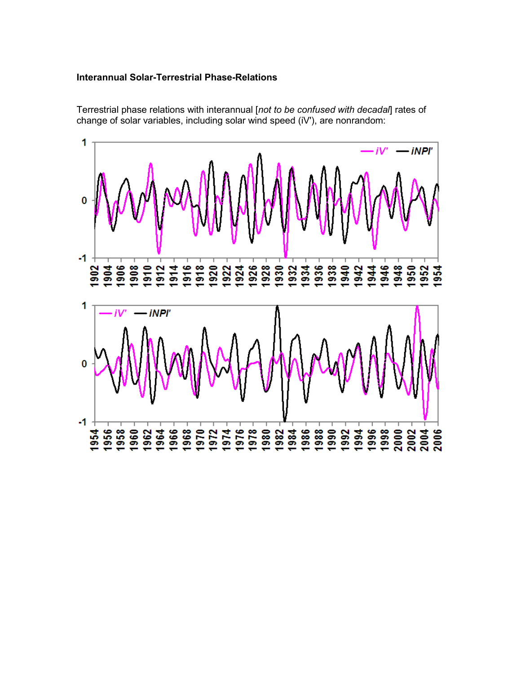#### **Interannual Solar-Terrestrial Phase-Relations**

Terrestrial phase relations with interannual [*not to be confused with decadal*] rates of change of solar variables, including solar wind speed (iV'), are nonrandom:

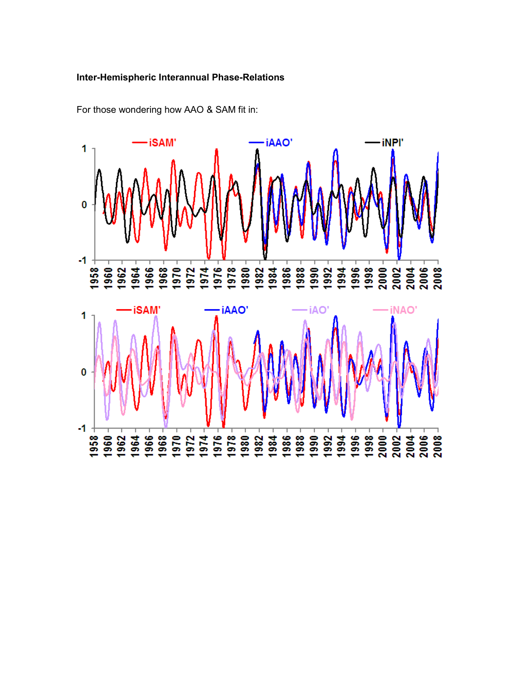#### **Inter-Hemispheric Interannual Phase-Relations**



For those wondering how AAO & SAM fit in: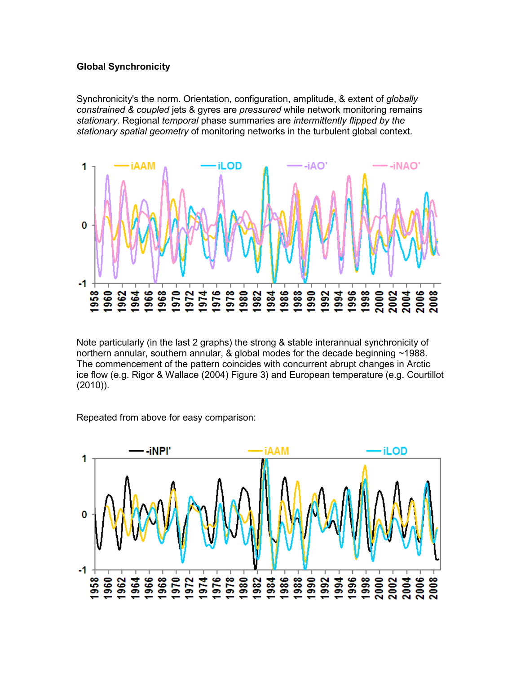#### **Global Synchronicity**

Synchronicity's the norm. Orientation, configuration, amplitude, & extent of *globally constrained & coupled* jets & gyres are *pressured* while network monitoring remains *stationary*. Regional *temporal* phase summaries are *intermittently flipped by the stationary spatial geometry* of monitoring networks in the turbulent global context.



Note particularly (in the last 2 graphs) the strong & stable interannual synchronicity of northern annular, southern annular, & global modes for the decade beginning ~1988. The commencement of the pattern coincides with concurrent abrupt changes in Arctic ice flow (e.g. Rigor & Wallace (2004) Figure 3) and European temperature (e.g. Courtillot (2010)).

Repeated from above for easy comparison:

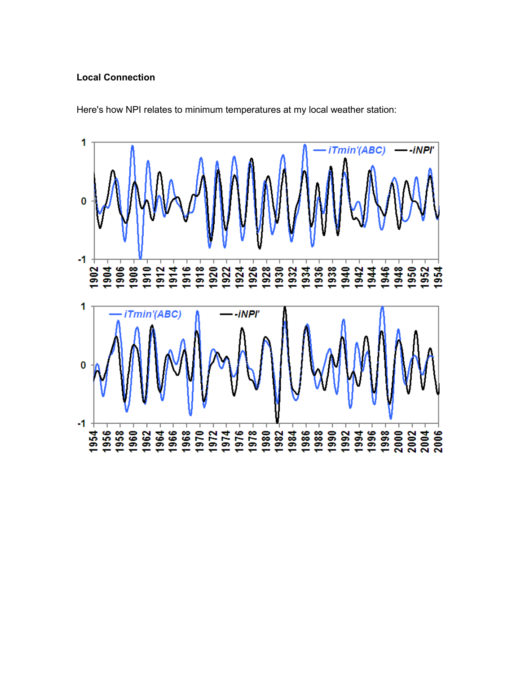#### **Local Connection**



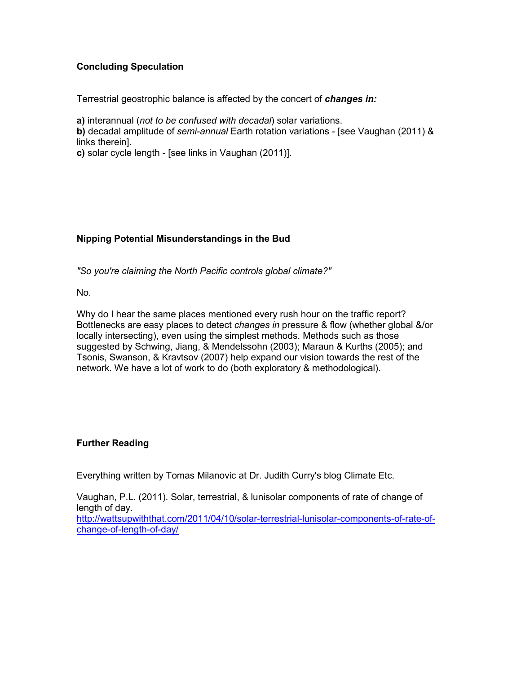# **Concluding Speculation**

Terrestrial geostrophic balance is affected by the concert of *changes in:*

**a)** interannual (*not to be confused with decadal*) solar variations.

**b)** decadal amplitude of *semi-annual* Earth rotation variations - [see Vaughan (2011) & links therein].

**c)** solar cycle length - [see links in Vaughan (2011)].

### **Nipping Potential Misunderstandings in the Bud**

*"So you're claiming the North Pacific controls global climate?"*

No.

Why do I hear the same places mentioned every rush hour on the traffic report? Bottlenecks are easy places to detect *changes in* pressure & flow (whether global &/or locally intersecting), even using the simplest methods. Methods such as those suggested by Schwing, Jiang, & Mendelssohn (2003); Maraun & Kurths (2005); and Tsonis, Swanson, & Kravtsov (2007) help expand our vision towards the rest of the network. We have a lot of work to do (both exploratory & methodological).

### **Further Reading**

Everything written by Tomas Milanovic at Dr. Judith Curry's blog Climate Etc.

Vaughan, P.L. (2011). Solar, terrestrial, & lunisolar components of rate of change of length of day.

[http://wattsupwiththat.com/2011/04/10/solar-terrestrial-lunisolar-components-of-rate-of](http://wattsupwiththat.com/2011/04/10/solar-terrestrial-lunisolar-components-of-rate-of-change-of-length-of-day/)[change-of-length-of-day/](http://wattsupwiththat.com/2011/04/10/solar-terrestrial-lunisolar-components-of-rate-of-change-of-length-of-day/)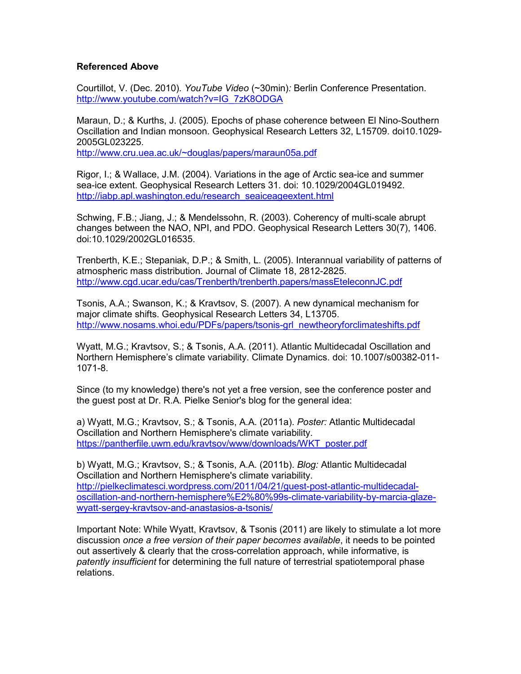#### **Referenced Above**

Courtillot, V. (Dec. 2010). *YouTube Video* (~30min)*:* Berlin Conference Presentation. [http://www.youtube.com/watch?v=IG\\_7zK8ODGA](http://www.youtube.com/watch?v=IG_7zK8ODGA)

Maraun, D.; & Kurths, J. (2005). Epochs of phase coherence between El Nino-Southern Oscillation and Indian monsoon. Geophysical Research Letters 32, L15709. doi10.1029- 2005GL023225. <http://www.cru.uea.ac.uk/~douglas/papers/maraun05a.pdf>

Rigor, I.; & Wallace, J.M. (2004). Variations in the age of Arctic sea-ice and summer sea-ice extent. Geophysical Research Letters 31. doi: 10.1029/2004GL019492. [http://iabp.apl.washington.edu/research\\_seaiceageextent.html](http://iabp.apl.washington.edu/research_seaiceageextent.html)

Schwing, F.B.; Jiang, J.; & Mendelssohn, R. (2003). Coherency of multi-scale abrupt changes between the NAO, NPI, and PDO. Geophysical Research Letters 30(7), 1406. doi:10.1029/2002GL016535.

Trenberth, K.E.; Stepaniak, D.P.; & Smith, L. (2005). Interannual variability of patterns of atmospheric mass distribution. Journal of Climate 18, 2812-2825. <http://www.cgd.ucar.edu/cas/Trenberth/trenberth.papers/massEteleconnJC.pdf>

Tsonis, A.A.; Swanson, K.; & Kravtsov, S. (2007). A new dynamical mechanism for major climate shifts. Geophysical Research Letters 34, L13705. [http://www.nosams.whoi.edu/PDFs/papers/tsonis-grl\\_newtheoryforclimateshifts.pdf](http://www.nosams.whoi.edu/PDFs/papers/tsonis-grl_newtheoryforclimateshifts.pdf)

Wyatt, M.G.; Kravtsov, S.; & Tsonis, A.A. (2011). Atlantic Multidecadal Oscillation and Northern Hemisphere's climate variability. Climate Dynamics. doi: 10.1007/s00382-011- 1071-8.

Since (to my knowledge) there's not yet a free version, see the conference poster and the guest post at Dr. R.A. Pielke Senior's blog for the general idea:

a) Wyatt, M.G.; Kravtsov, S.; & Tsonis, A.A. (2011a). *Poster:* Atlantic Multidecadal Oscillation and Northern Hemisphere's climate variability. https://pantherfile.uwm.edu/kraytsov/www/downloads/WKT\_poster.pdf

b) Wyatt, M.G.; Kravtsov, S.; & Tsonis, A.A. (2011b). *Blog:* Atlantic Multidecadal Oscillation and Northern Hemisphere's climate variability. [http://pielkeclimatesci.wordpress.com/2011/04/21/guest-post-atlantic-multidecadal](http://pielkeclimatesci.wordpress.com/2011/04/21/guest-post-atlantic-multidecadal-oscillation-and-northern-hemisphere%25E2%2580%2599s-climate-variability-by-marcia-glaze-wyatt-sergey-kravtsov-and-anastasios-a-tsonis/)[oscillation-and-northern-hemisphere%E2%80%99s-climate-variability-by-marcia-glaze](http://pielkeclimatesci.wordpress.com/2011/04/21/guest-post-atlantic-multidecadal-oscillation-and-northern-hemisphere%25E2%2580%2599s-climate-variability-by-marcia-glaze-wyatt-sergey-kravtsov-and-anastasios-a-tsonis/)[wyatt-sergey-kravtsov-and-anastasios-a-tsonis/](http://pielkeclimatesci.wordpress.com/2011/04/21/guest-post-atlantic-multidecadal-oscillation-and-northern-hemisphere%25E2%2580%2599s-climate-variability-by-marcia-glaze-wyatt-sergey-kravtsov-and-anastasios-a-tsonis/)

Important Note: While Wyatt, Kravtsov, & Tsonis (2011) are likely to stimulate a lot more discussion *once a free version of their paper becomes available*, it needs to be pointed out assertively & clearly that the cross-correlation approach, while informative, is *patently insufficient* for determining the full nature of terrestrial spatiotemporal phase relations.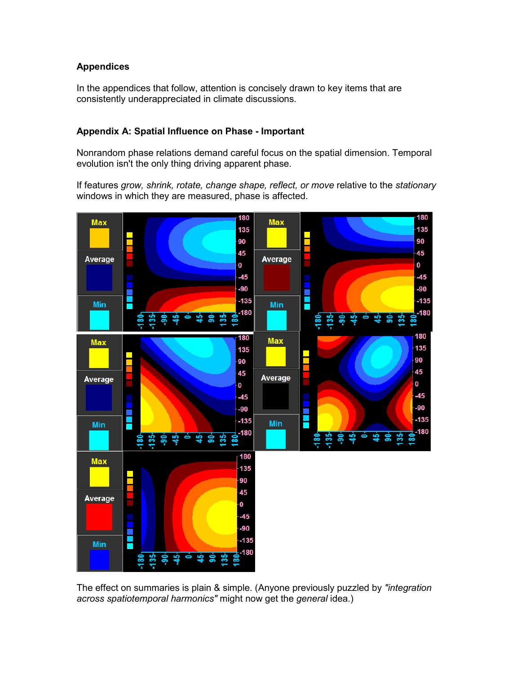## **Appendices**

In the appendices that follow, attention is concisely drawn to key items that are consistently underappreciated in climate discussions.

## **Appendix A: Spatial Influence on Phase - Important**

Nonrandom phase relations demand careful focus on the spatial dimension. Temporal evolution isn't the only thing driving apparent phase.

If features *grow, shrink, rotate, change shape, reflect, or move* relative to the *stationary* windows in which they are measured, phase is affected.



The effect on summaries is plain & simple. (Anyone previously puzzled by *"integration across spatiotemporal harmonics"* might now get the *general* idea.)